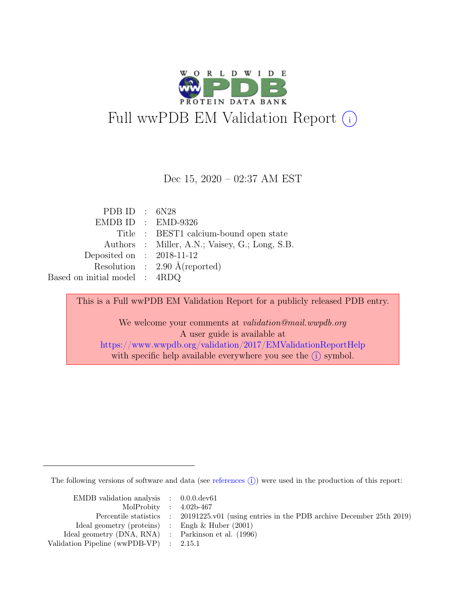

Dec 15, 2020 – 02:37 AM EST

PDB ID : 6N28 EMDB ID : EMD-9326 Title : BEST1 calcium-bound open state Authors : Miller, A.N.; Vaisey, G.; Long, S.B. Deposited on : 2018-11-12 Resolution : 2.90 Å(reported) Based on initial model : 4RDQ

> This is a Full wwPDB EM Validation Report for a publicly released PDB entry. We welcome your comments at *validation@mail.wwpdb.org* A user guide is available at <https://www.wwpdb.org/validation/2017/EMValidationReportHelp> with specific help available everywhere you see the  $(i)$  symbol.

The following versions of software and data (see [references](https://www.wwpdb.org/validation/2017/EMValidationReportHelp#references)  $(i)$ ) were used in the production of this report:

| EMDB validation analysis $\therefore$ 0.0.0.dev61   |                                                                                            |
|-----------------------------------------------------|--------------------------------------------------------------------------------------------|
| MolProbity : $4.02b-467$                            |                                                                                            |
|                                                     | Percentile statistics : 20191225.v01 (using entries in the PDB archive December 25th 2019) |
| Ideal geometry (proteins) : Engh $\&$ Huber (2001)  |                                                                                            |
| Ideal geometry (DNA, RNA) : Parkinson et al. (1996) |                                                                                            |
| Validation Pipeline (wwPDB-VP) : $2.15.1$           |                                                                                            |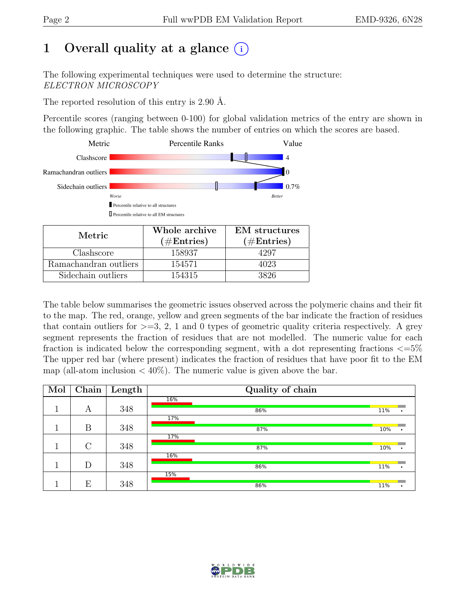# 1 Overall quality at a glance  $(i)$

The following experimental techniques were used to determine the structure: ELECTRON MICROSCOPY

The reported resolution of this entry is 2.90 Å.

Percentile scores (ranging between 0-100) for global validation metrics of the entry are shown in the following graphic. The table shows the number of entries on which the scores are based.



| Metric.               | Whole archive<br>$(\#Entries)$ | <b>EM</b> structures<br>$(\#Entries)$ |
|-----------------------|--------------------------------|---------------------------------------|
| Clashscore            | 158937                         | 1297                                  |
| Ramachandran outliers | 154571                         | 4023                                  |
| Sidechain outliers    | 154315                         | 3826                                  |

The table below summarises the geometric issues observed across the polymeric chains and their fit to the map. The red, orange, yellow and green segments of the bar indicate the fraction of residues that contain outliers for  $\geq$ =3, 2, 1 and 0 types of geometric quality criteria respectively. A grey segment represents the fraction of residues that are not modelled. The numeric value for each fraction is indicated below the corresponding segment, with a dot representing fractions  $\epsilon = 5\%$ The upper red bar (where present) indicates the fraction of residues that have poor fit to the EM map (all-atom inclusion  $\langle 40\% \rangle$ ). The numeric value is given above the bar.

| Mol | Chain         | Length | Quality of chain |     |
|-----|---------------|--------|------------------|-----|
|     |               |        | 16%              |     |
| и   | А             | 348    | 86%              | 11% |
|     |               |        | 17%              |     |
|     | B             | 348    | 87%              | 10% |
|     |               |        | 17%              |     |
|     | $\mathcal{C}$ | 348    | 87%              | 10% |
|     |               |        | 16%              |     |
|     | D             | 348    | 86%              | 11% |
|     |               |        | 15%              |     |
|     | E             | 348    | 86%              | 11% |

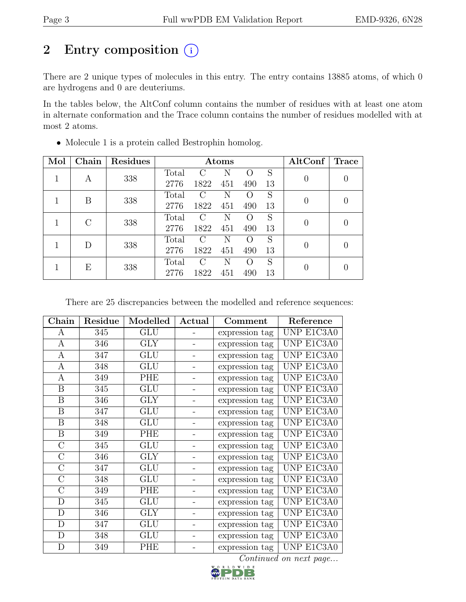# 2 Entry composition (i)

There are 2 unique types of molecules in this entry. The entry contains 13885 atoms, of which 0 are hydrogens and 0 are deuteriums.

In the tables below, the AltConf column contains the number of residues with at least one atom in alternate conformation and the Trace column contains the number of residues modelled with at most 2 atoms.

| Mol | Chain     | Residues |       | Atoms                       |              |                    |    | $\operatorname{AltConf}$ | <b>Trace</b> |
|-----|-----------|----------|-------|-----------------------------|--------------|--------------------|----|--------------------------|--------------|
| 1   | А         | 338      | Total | $\mathcal{C}$               | N            | $\left( \right)$   | S  | 0                        |              |
|     |           |          | 2776  | 1822                        | 451          | 490                | 13 |                          |              |
|     | В         | 338      | Total | $\left( \ \right)$          | <sup>N</sup> | $\left( \ \right)$ | S  | 0                        |              |
|     |           |          | 2776  | 1822                        | 451          | 490                | 13 |                          |              |
|     | $\bigcap$ | 338      | Total | $\left( \cdot \right)$      | N            | $\left( \right)$   | S  | 0                        |              |
|     |           |          | 2776  | 1822                        | 451          | 490                | 13 |                          |              |
|     | D         | 338      | Total | $\mathcal{C}_{\mathcal{C}}$ | N            | $\left( \right)$   | S  |                          |              |
|     |           |          | 2776  | 1822                        | 451          | 490                | 13 |                          |              |
|     | Е         | 338      | Total | $\left( \cdot \right)$      | N            | $\left( \right)$   | S  | 0                        |              |
|     |           |          | 2776  | 1822                        | 451          | 490                | 13 |                          |              |

• Molecule 1 is a protein called Bestrophin homolog.

There are 25 discrepancies between the modelled and reference sequences:

| Chain            | Residue | Modelled   | Actual<br>Comment |                | Reference  |
|------------------|---------|------------|-------------------|----------------|------------|
| A                | 345     | <b>GLU</b> |                   | expression tag | UNP E1C3A0 |
| $\mathbf{A}$     | 346     | <b>GLY</b> |                   | expression tag | UNP E1C3A0 |
| A                | 347     | GLU        |                   | expression tag | UNP E1C3A0 |
| $\mathbf{A}$     | 348     | <b>GLU</b> |                   | expression tag | UNP E1C3A0 |
| $\mathbf{A}$     | 349     | PHE        |                   | expression tag | UNP E1C3A0 |
| $\boldsymbol{B}$ | 345     | GLU        |                   | expression tag | UNP E1C3A0 |
| B                | 346     | <b>GLY</b> |                   | expression tag | UNP E1C3A0 |
| B                | 347     | GLU        |                   | expression tag | UNP E1C3A0 |
| $\boldsymbol{B}$ | 348     | <b>GLU</b> |                   | expression tag | UNP E1C3A0 |
| B                | 349     | PHE        |                   | expression tag | UNP E1C3A0 |
| $\mathcal{C}$    | 345     | <b>GLU</b> |                   | expression tag | UNP E1C3A0 |
| $\rm C$          | 346     | <b>GLY</b> |                   | expression tag | UNP E1C3A0 |
| $\mathcal{C}$    | 347     | <b>GLU</b> |                   | expression tag | UNP E1C3A0 |
| $\rm C$          | 348     | GLU        |                   | expression tag | UNP E1C3A0 |
| $\overline{C}$   | 349     | PHE        |                   | expression tag | UNP E1C3A0 |
| $\mathbf D$      | 345     | GLU        |                   | expression tag | UNP E1C3A0 |
| D                | 346     | <b>GLY</b> |                   | expression tag | UNP E1C3A0 |
| $\mathbf D$      | 347     | GLU        |                   | expression tag | UNP E1C3A0 |
| D                | 348     | GLU        |                   | expression tag | UNP E1C3A0 |
| D                | 349     | PHE        |                   | expression tag | UNP E1C3A0 |

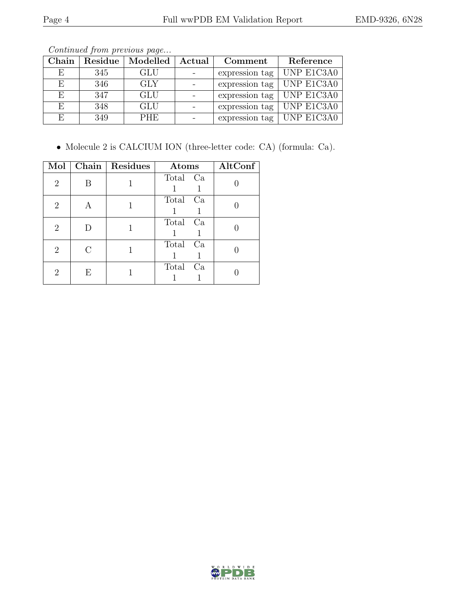| ${\bf Chain}$ |     | Residue   Modelled   Actual | Comment                     | Reference  |
|---------------|-----|-----------------------------|-----------------------------|------------|
| E             | 345 | <b>GLU</b>                  | expression tag              | UNP E1C3A0 |
| F,            | 346 | GLY                         | expression tag   UNP E1C3A0 |            |
| E             | 347 | <b>GLU</b>                  | expression tag UNP E1C3A0   |            |
| E             | 348 | <b>GLU</b>                  | expression tag   UNP E1C3A0 |            |
| F             | 349 | <b>PHE</b>                  | expression tag UNP E1C3A0   |            |

Continued from previous page...

• Molecule 2 is CALCIUM ION (three-letter code: CA) (formula: Ca).

| Mol            |   | Chain   Residues | Atoms       | AltConf |
|----------------|---|------------------|-------------|---------|
| $\overline{2}$ | В |                  | Total Ca    |         |
| 2              | Α |                  | Total Ca    |         |
| $\overline{2}$ |   |                  | Total Ca    |         |
| 2              | C |                  | Total Ca    |         |
| 2              | Е |                  | Total<br>Ca |         |

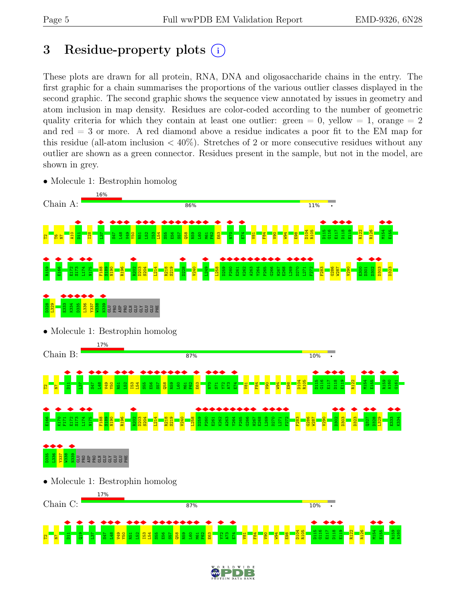# <span id="page-4-0"></span>3 Residue-property plots  $(i)$

These plots are drawn for all protein, RNA, DNA and oligosaccharide chains in the entry. The first graphic for a chain summarises the proportions of the various outlier classes displayed in the second graphic. The second graphic shows the sequence view annotated by issues in geometry and atom inclusion in map density. Residues are color-coded according to the number of geometric quality criteria for which they contain at least one outlier: green  $= 0$ , yellow  $= 1$ , orange  $= 2$ and red  $=$  3 or more. A red diamond above a residue indicates a poor fit to the EM map for this residue (all-atom inclusion  $\langle 40\% \rangle$ ). Stretches of 2 or more consecutive residues without any outlier are shown as a green connector. Residues present in the sample, but not in the model, are shown in grey.

• Molecule 1: Bestrophin homolog



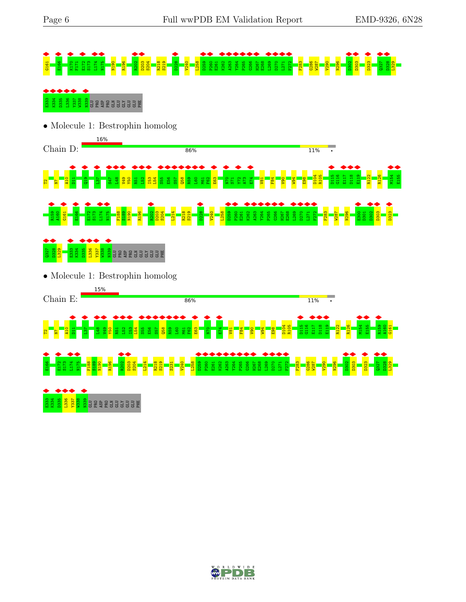



• Molecule 1: Bestrophin homolog





• Molecule 1: Bestrophin homolog



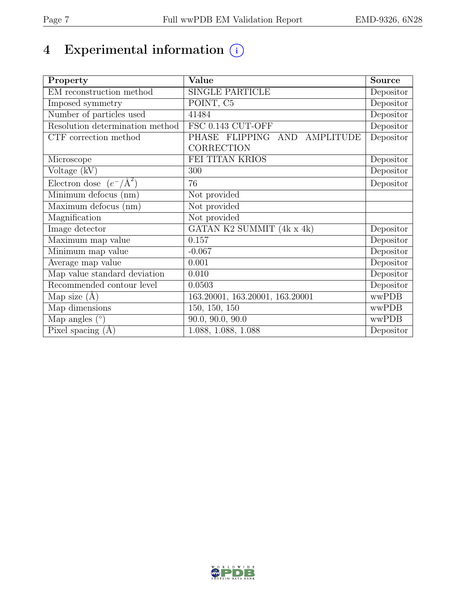# 4 Experimental information  $\bigcirc$

| Property                           | Value                           | <b>Source</b>                  |
|------------------------------------|---------------------------------|--------------------------------|
| EM reconstruction method           | <b>SINGLE PARTICLE</b>          | Depositor                      |
| Imposed symmetry                   | POINT, C5                       | Depositor                      |
| Number of particles used           | 41484                           | Depositor                      |
| Resolution determination method    | FSC 0.143 CUT-OFF               | Depositor                      |
| CTF correction method              | PHASE FLIPPING AND AMPLITUDE    | Depositor                      |
|                                    | <b>CORRECTION</b>               |                                |
| Microscope                         | FEI TITAN KRIOS                 | Depositor                      |
| Voltage (kV)                       | 300                             | Depositor                      |
| Electron dose $(e^-/\text{\AA}^2)$ | 76                              | Depositor                      |
| Minimum defocus (nm)               | Not provided                    |                                |
| Maximum defocus (nm)               | Not provided                    |                                |
| Magnification                      | Not provided                    |                                |
| Image detector                     | GATAN K2 SUMMIT (4k x 4k)       | Depositor                      |
| Maximum map value                  | 0.157                           | Depositor                      |
| Minimum map value                  | $-0.067$                        | Depositor                      |
| Average map value                  | 0.001                           | $\overline{\text{De}}$ positor |
| Map value standard deviation       | 0.010                           | Depositor                      |
| Recommended contour level          | 0.0503                          | Depositor                      |
| Map size $(A)$                     | 163.20001, 163.20001, 163.20001 | wwPDB                          |
| Map dimensions                     | 150, 150, 150                   | wwPDB                          |
| Map angles $(°)$                   | 90.0, 90.0, 90.0                | wwPDB                          |
| Pixel spacing $(A)$                | 1.088, 1.088, 1.088             | Depositor                      |

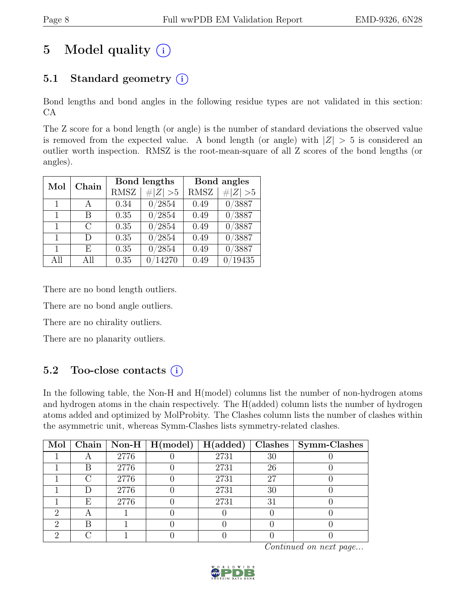# 5 Model quality  $(i)$

## 5.1 Standard geometry  $(i)$

Bond lengths and bond angles in the following residue types are not validated in this section: CA

The Z score for a bond length (or angle) is the number of standard deviations the observed value is removed from the expected value. A bond length (or angle) with  $|Z| > 5$  is considered an outlier worth inspection. RMSZ is the root-mean-square of all Z scores of the bond lengths (or angles).

| Chain<br>Mol |               |             | Bond lengths   | Bond angles |             |
|--------------|---------------|-------------|----------------|-------------|-------------|
|              |               | <b>RMSZ</b> | $\# Z  > 5$    | <b>RMSZ</b> | $\# Z  > 5$ |
| $\mathbf{1}$ | A             | 0.34        | 0/2854         | 0.49        | 0/3887      |
| $\mathbf{1}$ | В             | 0.35        | 0/2854         | 0.49        | 0/3887      |
| 1            | $\mathcal{C}$ | 0.35        | 0/2854         | 0.49        | 0/3887      |
| $\mathbf{1}$ | D             | 0.35        | 0/2854         | 0.49        | 0/3887      |
| 1            | F,            | 0.35        | 0/2854         | 0.49        | 0/3887      |
| All          | All           | 0.35        | $\sqrt{14270}$ | 0.49        | 19435       |

There are no bond length outliers.

There are no bond angle outliers.

There are no chirality outliers.

There are no planarity outliers.

## 5.2 Too-close contacts  $(i)$

In the following table, the Non-H and H(model) columns list the number of non-hydrogen atoms and hydrogen atoms in the chain respectively. The H(added) column lists the number of hydrogen atoms added and optimized by MolProbity. The Clashes column lists the number of clashes within the asymmetric unit, whereas Symm-Clashes lists symmetry-related clashes.

|   |           |      | Mol   Chain   Non-H   H(model) | $\mid$ H(added) |    | $Clashes$   Symm-Clashes |
|---|-----------|------|--------------------------------|-----------------|----|--------------------------|
|   | $\forall$ | 2776 |                                | 2731            | 30 |                          |
|   | В         | 2776 |                                | 2731            | 26 |                          |
|   |           | 2776 |                                | 2731            | 27 |                          |
|   |           | 2776 |                                | 2731            | 30 |                          |
|   | Ε         | 2776 |                                | 2731            | 31 |                          |
|   | Α         |      |                                |                 |    |                          |
| ച | R         |      |                                |                 |    |                          |
|   |           |      |                                |                 |    |                          |

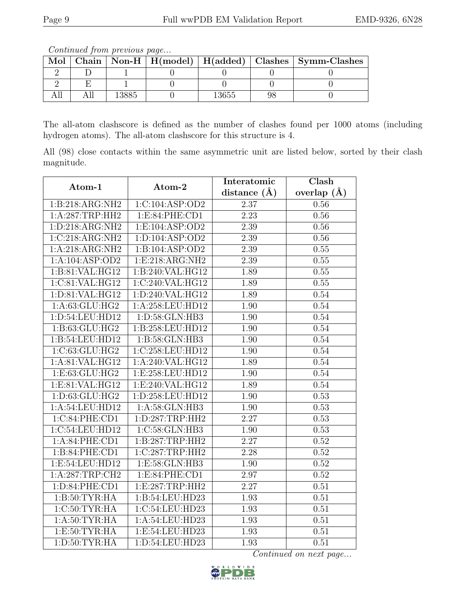Continued from previous page...

| Mol |  |      | Chain   Non-H   $H$ (model)   $H$ (added)   Clashes   Symm-Clashes |
|-----|--|------|--------------------------------------------------------------------|
|     |  |      |                                                                    |
|     |  |      |                                                                    |
|     |  | 3655 |                                                                    |

The all-atom clashscore is defined as the number of clashes found per 1000 atoms (including hydrogen atoms). The all-atom clashscore for this structure is 4.

All (98) close contacts within the same asymmetric unit are listed below, sorted by their clash magnitude.

| Atom-1                           | Atom-2              | Interatomic       | Clash           |
|----------------------------------|---------------------|-------------------|-----------------|
|                                  |                     | distance $(A)$    | overlap $(\AA)$ |
| 1:B:218:ARG:NH2                  | 1:C:104:ASP:OD2     | 2.37              | 0.56            |
| 1:A:287:TRP:HH2                  | 1:E:84:PHE:CD1      | $\overline{2.23}$ | $0.56\,$        |
| $1: D: 218: ARG: \overline{NH2}$ | 1: E: 104: ASP: OD2 | 2.39              | 0.56            |
| 1:C:218:ARG:NH2                  | 1:D:104:ASP:OD2     | 2.39              | 0.56            |
| 1:A:218:ARG:NH2                  | 1:B:104:ASP:OD2     | 2.39              | 0.55            |
| 1:A:104:ASP:OD2                  | 1: E:218: ARG:NH2   | 2.39              | 0.55            |
| 1:B:81:VAL:HG12                  | 1:B:240:VAL:HG12    | 1.89              | $0.55\,$        |
| 1:C:81:VAL:HG12                  | 1:C:240:VAL:HG12    | 1.89              | 0.55            |
| 1:D:81:VAL:HG12                  | 1:D:240:VAL:HG12    | 1.89              | 0.54            |
| 1:A:63:GLU:HG2                   | 1:A:258:LEU:HD12    | 1.90              | 0.54            |
| 1:D:54:LEU:HD12                  | 1: D: 58: GLN: HB3  | 1.90              | 0.54            |
| 1:B:63:GLU:HG2                   | 1:B:258:LEU:HD12    | 1.90              | 0.54            |
| 1:B:54:LEU:HD12                  | 1:B:58:GLN:HB3      | 1.90              | 0.54            |
| 1:C:63:GLU:HG2                   | 1:C:258:LEU:HD12    | 1.90              | 0.54            |
| 1:A:81:VAL:HG12                  | 1:A:240:VAL:HG12    | 1.89              | 0.54            |
| 1:E:63:GLU:HG2                   | 1:E:258:LEU:HD12    | 1.90              | 0.54            |
| 1:E:81:VAL:HG12                  | 1:E:240:VAL:HG12    | 1.89              | 0.54            |
| 1:D:63:GLU:HG2                   | 1:D:258:LEU:HD12    | 1.90              | 0.53            |
| 1:A:54:LEU:HD12                  | 1: A:58: GLN:HB3    | 1.90              | 0.53            |
| 1:C:84:PHE:CD1                   | 1:D:287:TRP:HH2     | $\overline{2.27}$ | 0.53            |
| 1:C:54:LEU:HD12                  | 1:C:58:GLN:HB3      | 1.90              | 0.53            |
| 1:A:84:PHE:CD1                   | 1:B:287:TRP:HH2     | 2.27              | 0.52            |
| 1:B:84:PHE:CD1                   | 1:C:287:TRP:HH2     | 2.28              | 0.52            |
| 1:E:54:LEU:HD12                  | 1:E:58:GLN:HB3      | 1.90              | 0.52            |
| 1: A:287:TRP:CH2                 | 1:E:84:PHE:CD1      | 2.97              | 0.52            |
| 1: D:84: PHE:CD1                 | 1: E: 287: TRP: HH2 | 2.27              | 0.51            |
| 1: B:50: TYR: HA                 | 1:B:54:LEU:HD23     | 1.93              | 0.51            |
| 1:C:50:TYR:HA                    | 1:C:54:LEU:HD23     | 1.93              | 0.51            |
| 1: A:50: TYR: HA                 | 1:A:54:LEU:HD23     | 1.93              | 0.51            |
| 1: E:50: TYR: HA                 | 1:E:54:LEU:HD23     | 1.93              | 0.51            |
| 1: D:50: TYR: HA                 | 1: D:54: LEU:HD23   | 1.93              | 0.51            |

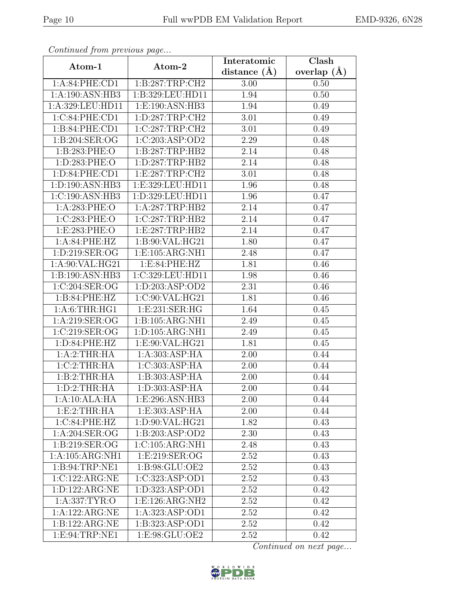| EMD-9326, 6N28 |  |
|----------------|--|
|----------------|--|

| Continua from previous page |                     | Interatomic    | $\overline{\text{Clash}}$ |  |
|-----------------------------|---------------------|----------------|---------------------------|--|
| Atom-1                      | Atom-2              | distance $(A)$ | overlap $(A)$             |  |
| 1:A:84:PHE:CD1              | 1:B:287:TRP:CH2     | 3.00           | 0.50                      |  |
| 1:A:190:ASN:HB3             | 1:B:329:LEU:HD11    | 1.94           | 0.50                      |  |
| 1:A:329:LEU:HD11            | 1:E:190:ASN:HB3     | 1.94           | 0.49                      |  |
| 1:C:84:PHE:CD1              | 1: D: 287: TRP: CH2 | 3.01           | 0.49                      |  |
| 1:B:84:PHE:CD1              | 1:C:287:TRP:CH2     | 3.01           | 0.49                      |  |
| 1:B:204:SER:OG              | 1:C:203:ASP:OD2     | 2.29           | 0.48                      |  |
| 1:B:283:PHE:O               | 1:B:287:TRP:HB2     | 2.14           | 0.48                      |  |
| 1:D:283:PHE:O               | 1: D: 287: TRP: HB2 | 2.14           | 0.48                      |  |
| 1:D:84:PHE:CD1              | 1:E:287:TRP:CH2     | 3.01           | 0.48                      |  |
| 1:D:190:ASN:HB3             | 1:E:329:LEU:HD11    | 1.96           | 0.48                      |  |
| 1:C:190:ASN:HB3             | 1:D:329:LEU:HD11    | 1.96           | 0.47                      |  |
| 1:A:283:PHE:O               | 1:A:287:TRP:HB2     | 2.14           | 0.47                      |  |
| 1:C:283:PHE:O               | 1:C:287:TRP:HB2     | 2.14           | 0.47                      |  |
| 1:E:283:PHE:O               | 1:E:287:TRP:HB2     | 2.14           | 0.47                      |  |
| 1:A:84:PHE:HZ               | 1:B:90:VAL:HG21     | 1.80           | 0.47                      |  |
| 1:D:219:SER:OG              | 1:E:105:ARG:NH1     | 2.48           | 0.47                      |  |
| 1:A:90:VAL:HG21             | 1: E:84: PHE:HZ     | 1.81           | 0.46                      |  |
| 1:B:190:ASN:HB3             | 1:C:329:LEU:HD11    | 1.98           | 0.46                      |  |
| 1:C:204:SER:OG              | 1:D:203:ASP:OD2     | 2.31           | 0.46                      |  |
| 1:B:84:PHE:HZ               | 1:C:90:VAL:HG21     | 1.81           | 0.46                      |  |
| 1: A:6:THR:HGI              | 1:E:231:SER:HG      | 1.64           | 0.45                      |  |
| 1: A:219: SER:OG            | 1:B:105:ARG:NH1     | 2.49           | 0.45                      |  |
| 1:C:219:SER:OG              | 1:D:105:ARG:NH1     | 2.49           | 0.45                      |  |
| 1: D:84: PHE:HZ             | 1:E:90:VAL:HG21     | 1.81           | 0.45                      |  |
| 1:A:2:THR:HA                | 1:A:303:ASP:HA      | 2.00           | 0.44                      |  |
| 1:C:2:THR:HA                | 1:C:303:ASP:HA      | 2.00           | 0.44                      |  |
| 1:B:2:THR:HA                | 1:B:303:ASP:HA      | 2.00           | 0.44                      |  |
| 1: D: 2: THEN: HA           | 1: D: 303: ASP: HA  | 2.00           | 0.44                      |  |
| $1:A:10:ALA:\overline{HA}$  | 1:E:296:ASN:HB3     | 2.00           | 0.44                      |  |
| 1:E:2:THR:HA                | 1:E:303:ASP:HA      | 2.00           | 0.44                      |  |
| 1:C:84:PHE:HZ               | 1: D:90: VAL: HG21  | 1.82           | 0.43                      |  |
| 1: A:204: SER:OG            | 1:B:203:ASP:OD2     | 2.30           | 0.43                      |  |
| 1:B:219:SER:OG              | 1:C:105:ARG:NH1     | 2.48           | 0.43                      |  |
| 1:A:105:ARG:NH1             | 1:E:219:SER:OG      | 2.52           | 0.43                      |  |
| 1:B:94:TRP:NE1              | 1: B:98: GLU:OE2    | 2.52           | 0.43                      |  |
| 1:C:122:ARG:NE              | 1:C:323:ASP:OD1     | 2.52           | 0.43                      |  |
| 1: D: 122: ARG: NE          | 1:D:323:ASP:OD1     | 2.52           | 0.42                      |  |
| 1:A:337:TYR:O               | 1:E:126:ARG:NH2     | 2.52           | 0.42                      |  |
| 1:A:122:ARG:NE              | 1:A:323:ASP:OD1     | 2.52           | 0.42                      |  |
| 1:B:122:ARG:NE              | 1:B:323:ASP:OD1     | 2.52           | 0.42                      |  |
| 1:E:94:TRP:NE1              | 1:E:98:GLU:OE2      | 2.52           | 0.42                      |  |

Continued from previous page.

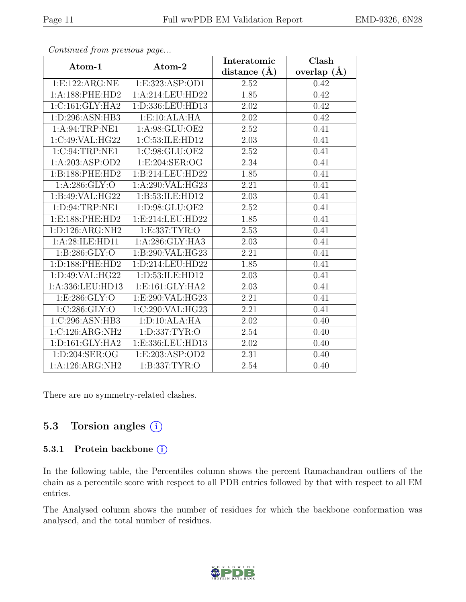| EMD-9326, 6N28 |  |
|----------------|--|
|----------------|--|

|                                 |                      | Interatomic       | Clash           |  |
|---------------------------------|----------------------|-------------------|-----------------|--|
| Atom-1                          | Atom-2               | distance $(\AA)$  | overlap $(\AA)$ |  |
| 1: E: 122: ARG: NE              | 1:E:323:ASP:OD1      | 2.52              | 0.42            |  |
| 1:A:188:PHE:HD2                 | 1:A:214:LEU:HD22     | 1.85              | 0.42            |  |
| 1:C:161:GLY:HA2                 | 1:D:336:LEU:HD13     | 2.02              | 0.42            |  |
| 1: D:296: ASN:HB3               | 1: E: 10: ALA: HA    | 2.02              | 0.42            |  |
| 1:A:94:TRP:NE1                  | 1:A:98:GLU:OE2       | 2.52              | 0.41            |  |
| 1:C:49:VAL:HG22                 | 1:C:53:ILE:HD12      | 2.03              | 0.41            |  |
| 1:C:94:TRP:NE1                  | 1:C:98:GLU:OE2       | 2.52              | 0.41            |  |
| 1:A:203:ASP:OD2                 | 1: E:204: SER:OG     | 2.34              | 0.41            |  |
| 1:B:188:PHE:HD2                 | 1:B:214:LEU:HD22     | 1.85              | 0.41            |  |
| 1: A:286: GLY:O                 | 1:A:290:VAL:HG23     | 2.21              | 0.41            |  |
| 1:B:49:VAL:HG22                 | 1:B:53:ILE:HD12      | 2.03              | 0.41            |  |
| 1: D:94:TRP:NE1                 | 1: D:98: GLU:OE2     | 2.52              | 0.41            |  |
| 1: E: 188: PHE: HD2             | 1: E: 214: LEU: HD22 | 1.85              | 0.41            |  |
| 1: D: 126: ARG: NH2             | 1: E: 337: TYR: O    | 2.53              | 0.41            |  |
| 1:A:28:ILE:HD11                 | 1:A:286:GLY:HA3      | 2.03              | 0.41            |  |
| 1: B:286: GLY:O                 | 1:B:290:VAL:HG23     | 2.21              | 0.41            |  |
| 1:D:188:PHE:HD2                 | 1:D:214:LEU:HD22     | 1.85              | 0.41            |  |
| 1: D:49: VAL:HG22               | 1: D: 53: ILE: HD12  | 2.03              | 0.41            |  |
| 1:A:336:LEU:HD13                | 1: E:161: GLY: HA2   | 2.03              | 0.41            |  |
| 1: E: 286: GLY:O                | 1:E:290:VAL:HG23     | 2.21              | 0.41            |  |
| 1:C:286:GLY:O                   | 1:C:290:VAL:HG23     | $\overline{2.21}$ | 0.41            |  |
| 1:C:296:ASN:HB3                 | 1: D: 10: ALA: HA    | 2.02              | 0.40            |  |
| 1:C:126:ARG:NH2                 | 1:D:337:TYR:O        | 2.54              | 0.40            |  |
| $1: D: 161: \overline{GLY:HAZ}$ | 1:E:336:LEU:HD13     | 2.02              | 0.40            |  |
| 1: D:204: SER:OG                | 1: E: 203: ASP: OD2  | 2.31              | 0.40            |  |
| 1:A:126:ARG:NH2                 | 1: B: 337: TYR: O    | 2.54              | 0.40            |  |

Continued from previous page...

There are no symmetry-related clashes.

### 5.3 Torsion angles (i)

#### 5.3.1 Protein backbone (i)

In the following table, the Percentiles column shows the percent Ramachandran outliers of the chain as a percentile score with respect to all PDB entries followed by that with respect to all EM entries.

The Analysed column shows the number of residues for which the backbone conformation was analysed, and the total number of residues.

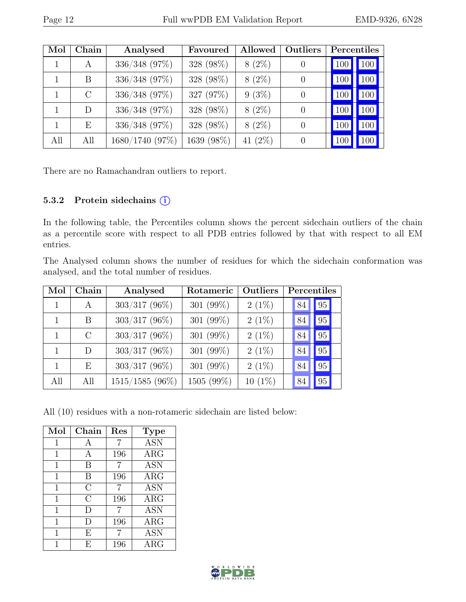| Mol | Chain         | Analysed        | Favoured   | Allowed    | <b>Outliers</b> | Percentiles |     |
|-----|---------------|-----------------|------------|------------|-----------------|-------------|-----|
|     | A             | 336/348 (97%)   | 328 (98%)  | $8(2\%)$   |                 | 100         | 100 |
|     | B             | 336/348 (97%)   | 328 (98%)  | $8(2\%)$   |                 | 100         | 100 |
|     | $\mathcal{C}$ | 336/348 (97%)   | 327 (97%)  | $9(3\%)$   |                 | 100         | 100 |
|     | D             | 336/348 (97%)   | 328 (98%)  | $8(2\%)$   | $\theta$        | 100         | 100 |
|     | E             | 336/348 (97%)   | 328 (98%)  | $8(2\%)$   | 0               | 100         | 100 |
| All | All           | 1680/1740 (97%) | 1639 (98%) | 41 $(2\%)$ |                 | 100         | 100 |

There are no Ramachandran outliers to report.

#### 5.3.2 Protein sidechains (i)

In the following table, the Percentiles column shows the percent sidechain outliers of the chain as a percentile score with respect to all PDB entries followed by that with respect to all EM entries.

The Analysed column shows the number of residues for which the sidechain conformation was analysed, and the total number of residues.

| Mol | Chain         | Analysed        | Rotameric    | Outliers  | Percentiles  |    |
|-----|---------------|-----------------|--------------|-----------|--------------|----|
|     | A             | $303/317$ (96%) | 301 $(99\%)$ | $2(1\%)$  | 84           | 95 |
|     | <sub>B</sub>  | $303/317$ (96%) | 301 $(99\%)$ | $2(1\%)$  | 84           | 95 |
|     | $\mathcal{C}$ | $303/317$ (96%) | 301 (99%)    | $2(1\%)$  | 84           | 95 |
|     | D             | $303/317$ (96%) | 301 (99%)    | $2(1\%)$  | 84           | 95 |
|     | E             | $303/317$ (96%) | 301 (99%)    | $2(1\%)$  | 84           | 95 |
| All | All           | 1515/1585 (96%) | 1505 (99%)   | $10(1\%)$ | $^{\circ}84$ | 95 |

All (10) residues with a non-rotameric sidechain are listed below:

| Mol          | Chain        | Res | <b>Type</b> |
|--------------|--------------|-----|-------------|
| 1            | $\mathbf{A}$ | 7   | <b>ASN</b>  |
| 1            | А            | 196 | $\rm{ARG}$  |
| 1            | B            | 7   | <b>ASN</b>  |
| 1            | B            | 196 | $\rm{ARG}$  |
| 1            | $\rm C$      | 7   | <b>ASN</b>  |
| 1            | $\rm C$      | 196 | $\rm{ARG}$  |
| 1            | D            | 7   | <b>ASN</b>  |
| 1            | $\Box$       | 196 | $\rm{ARG}$  |
| $\mathbf{1}$ | Ε            | 7   | <b>ASN</b>  |
|              | F,           | 196 | $\rm{ARG}$  |

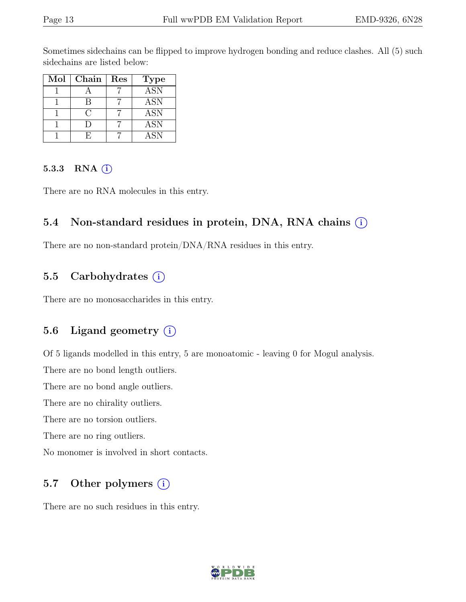Sometimes sidechains can be flipped to improve hydrogen bonding and reduce clashes. All (5) such sidechains are listed below:

| Mol | Chain | Res | <b>Type</b> |
|-----|-------|-----|-------------|
|     |       |     | <b>ASN</b>  |
|     |       |     | <b>ASN</b>  |
|     |       |     | <b>ASN</b>  |
|     |       |     | <b>ASN</b>  |
|     |       |     | <b>ASN</b>  |

#### 5.3.3 RNA  $(i)$

There are no RNA molecules in this entry.

### 5.4 Non-standard residues in protein, DNA, RNA chains (i)

There are no non-standard protein/DNA/RNA residues in this entry.

## 5.5 Carbohydrates  $(i)$

There are no monosaccharides in this entry.

## 5.6 Ligand geometry  $(i)$

Of 5 ligands modelled in this entry, 5 are monoatomic - leaving 0 for Mogul analysis.

There are no bond length outliers.

There are no bond angle outliers.

There are no chirality outliers.

There are no torsion outliers.

There are no ring outliers.

No monomer is involved in short contacts.

## 5.7 Other polymers (i)

There are no such residues in this entry.

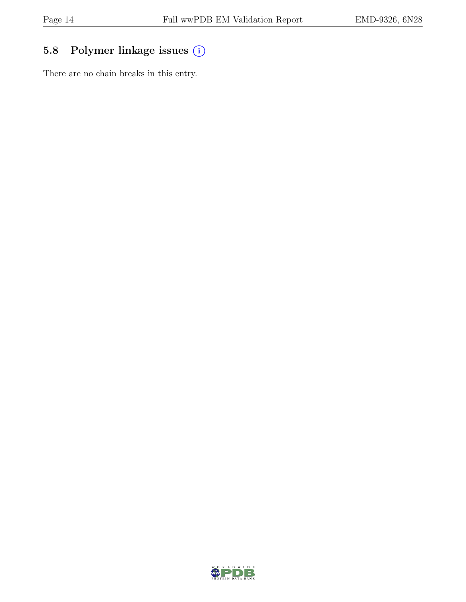## 5.8 Polymer linkage issues  $(i)$

There are no chain breaks in this entry.

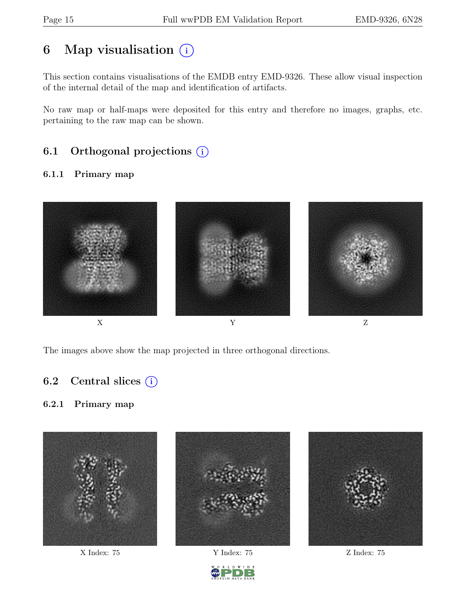# 6 Map visualisation  $(i)$

This section contains visualisations of the EMDB entry EMD-9326. These allow visual inspection of the internal detail of the map and identification of artifacts.

No raw map or half-maps were deposited for this entry and therefore no images, graphs, etc. pertaining to the raw map can be shown.

## 6.1 Orthogonal projections  $(i)$

#### 6.1.1 Primary map



The images above show the map projected in three orthogonal directions.

## 6.2 Central slices  $(i)$

#### 6.2.1 Primary map





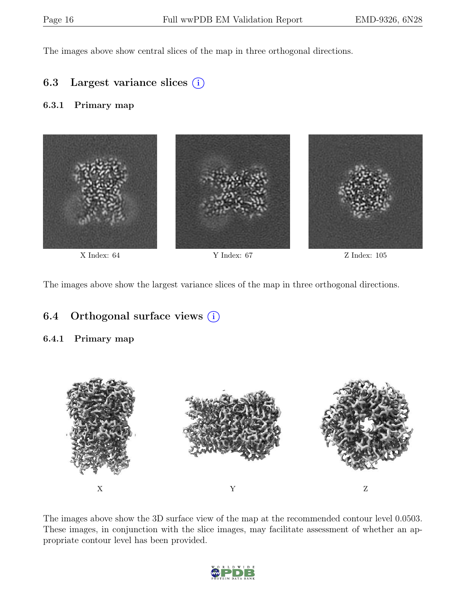The images above show central slices of the map in three orthogonal directions.

### 6.3 Largest variance slices  $(i)$

#### 6.3.1 Primary map



The images above show the largest variance slices of the map in three orthogonal directions.

## 6.4 Orthogonal surface views  $(i)$

#### 6.4.1 Primary map



The images above show the 3D surface view of the map at the recommended contour level 0.0503. These images, in conjunction with the slice images, may facilitate assessment of whether an appropriate contour level has been provided.

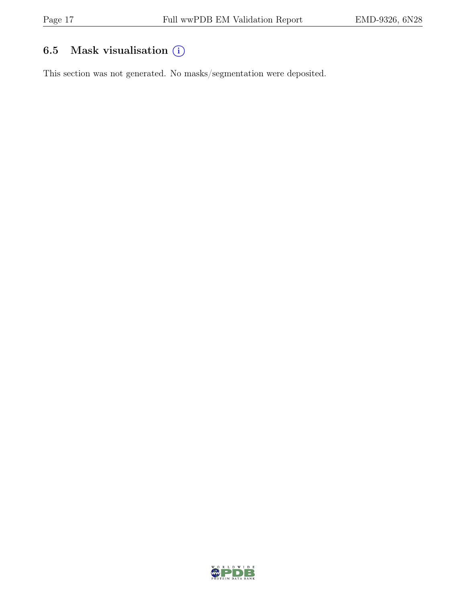## 6.5 Mask visualisation  $(i)$

This section was not generated. No masks/segmentation were deposited.

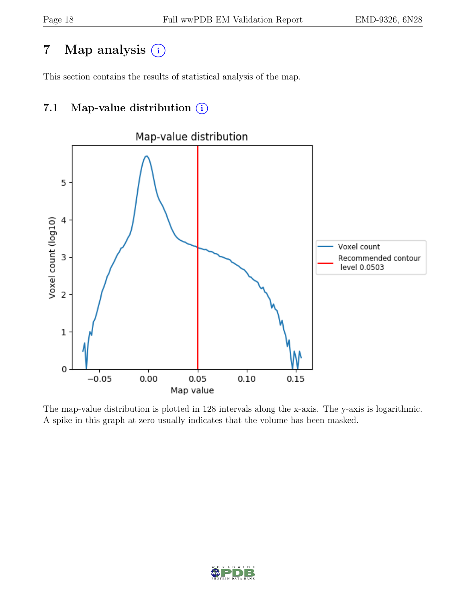## 7 Map analysis (i)

This section contains the results of statistical analysis of the map.

## 7.1 Map-value distribution  $(i)$



The map-value distribution is plotted in 128 intervals along the x-axis. The y-axis is logarithmic. A spike in this graph at zero usually indicates that the volume has been masked.

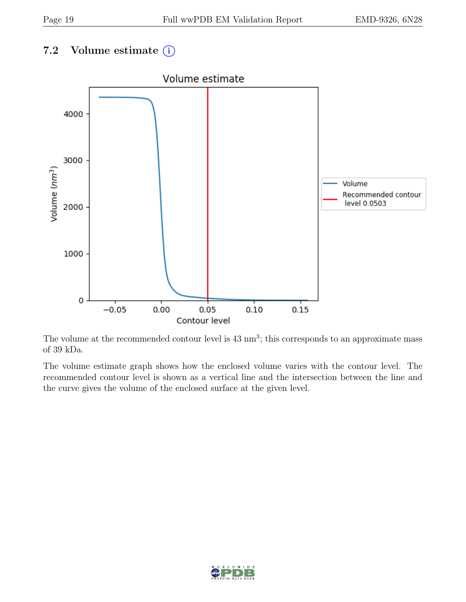## 7.2 Volume estimate  $(i)$



The volume at the recommended contour level is  $43 \text{ nm}^3$ ; this corresponds to an approximate mass of 39 kDa.

The volume estimate graph shows how the enclosed volume varies with the contour level. The recommended contour level is shown as a vertical line and the intersection between the line and the curve gives the volume of the enclosed surface at the given level.

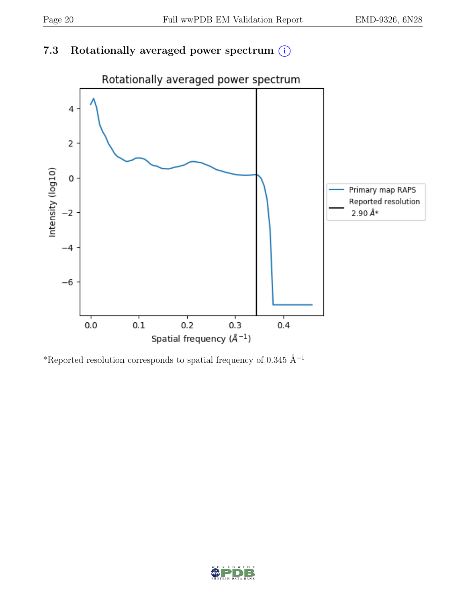## 7.3 Rotationally averaged power spectrum  $(i)$



\*Reported resolution corresponds to spatial frequency of 0.345 Å<sup>-1</sup>

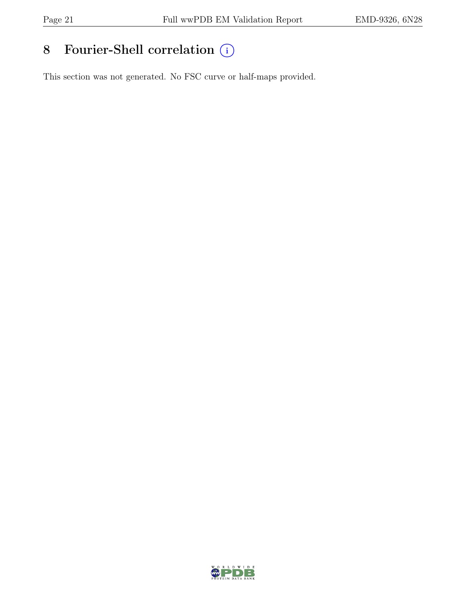# 8 Fourier-Shell correlation  $\bigcirc$

This section was not generated. No FSC curve or half-maps provided.

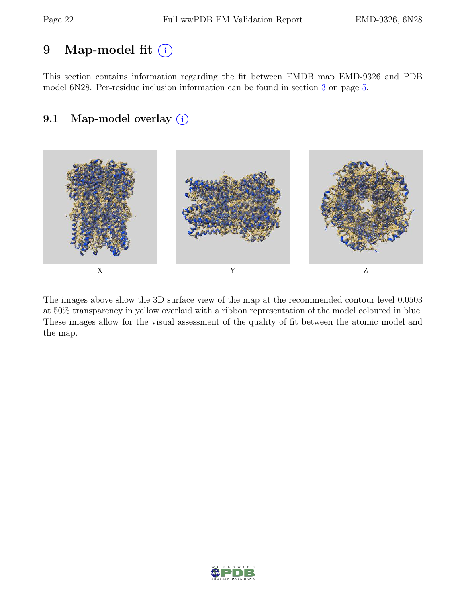## 9 Map-model fit  $(i)$

This section contains information regarding the fit between EMDB map EMD-9326 and PDB model 6N28. Per-residue inclusion information can be found in section [3](#page-4-0) on page [5.](#page-4-0)

## 9.1 Map-model overlay (i)



The images above show the 3D surface view of the map at the recommended contour level 0.0503 at 50% transparency in yellow overlaid with a ribbon representation of the model coloured in blue. These images allow for the visual assessment of the quality of fit between the atomic model and the map.